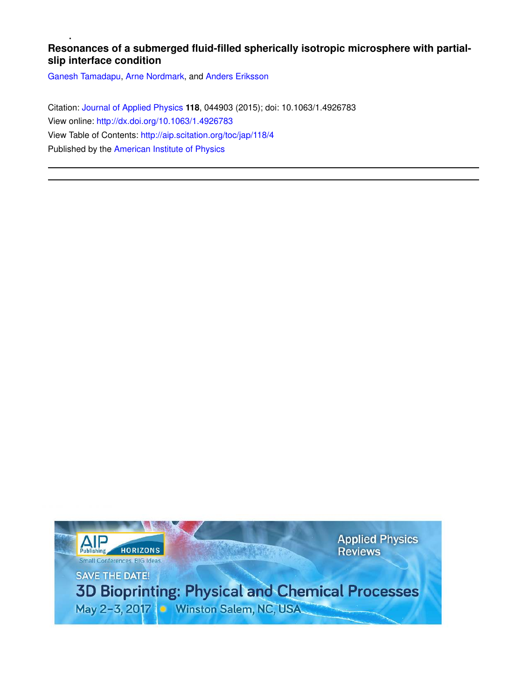# **Resonances of a submerged fluid-filled spherically isotropic microsphere with partialslip interface condition**

Ganesh Tamadapu, Arne Nordmark, and Anders Eriksson

Citation: Journal of Applied Physics **118**, 044903 (2015); doi: 10.1063/1.4926783 View online: http://dx.doi.org/10.1063/1.4926783 View Table of Contents: http://aip.scitation.org/toc/jap/118/4 Published by the American Institute of Physics

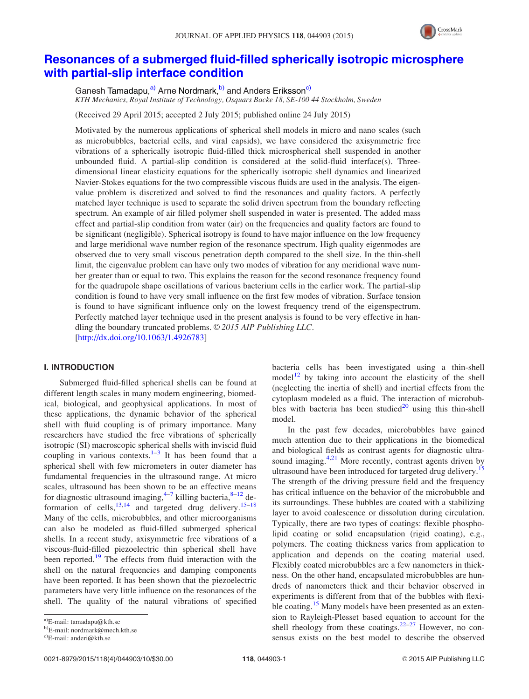

# Resonances of a submerged fluid-filled spherically isotropic microsphere with partial-slip interface condition

Ganesh Tamadapu.<sup>a)</sup> Arne Nordmark.<sup>b)</sup> and Anders Eriksson<sup>c)</sup> KTH Mechanics, Royal Institute of Technology, Osquars Backe 18, SE-100 44 Stockholm, Sweden

(Received 29 April 2015; accepted 2 July 2015; published online 24 July 2015)

Motivated by the numerous applications of spherical shell models in micro and nano scales (such as microbubbles, bacterial cells, and viral capsids), we have considered the axisymmetric free vibrations of a spherically isotropic fluid-filled thick microspherical shell suspended in another unbounded fluid. A partial-slip condition is considered at the solid-fluid interface(s). Threedimensional linear elasticity equations for the spherically isotropic shell dynamics and linearized Navier-Stokes equations for the two compressible viscous fluids are used in the analysis. The eigenvalue problem is discretized and solved to find the resonances and quality factors. A perfectly matched layer technique is used to separate the solid driven spectrum from the boundary reflecting spectrum. An example of air filled polymer shell suspended in water is presented. The added mass effect and partial-slip condition from water (air) on the frequencies and quality factors are found to be significant (negligible). Spherical isotropy is found to have major influence on the low frequency and large meridional wave number region of the resonance spectrum. High quality eigenmodes are observed due to very small viscous penetration depth compared to the shell size. In the thin-shell limit, the eigenvalue problem can have only two modes of vibration for any meridional wave number greater than or equal to two. This explains the reason for the second resonance frequency found for the quadrupole shape oscillations of various bacterium cells in the earlier work. The partial-slip condition is found to have very small influence on the first few modes of vibration. Surface tension is found to have significant influence only on the lowest frequency trend of the eigenspectrum. Perfectly matched layer technique used in the present analysis is found to be very effective in handling the boundary truncated problems.  $\odot$  2015 AIP Publishing LLC. [http://dx.doi.org/10.1063/1.4926783]

# I. INTRODUCTION

Submerged fluid-filled spherical shells can be found at different length scales in many modern engineering, biomedical, biological, and geophysical applications. In most of these applications, the dynamic behavior of the spherical shell with fluid coupling is of primary importance. Many researchers have studied the free vibrations of spherically isotropic (SI) macroscopic spherical shells with inviscid fluid coupling in various contexts. $1-3$  It has been found that a spherical shell with few micrometers in outer diameter has fundamental frequencies in the ultrasound range. At micro scales, ultrasound has been shown to be an effective means for diagnostic ultrasound imaging,<sup>4-7</sup> killing bacteria,<sup>8-12</sup> deformation of cells,<sup>13,14</sup> and targeted drug delivery.<sup>15–18</sup> Many of the cells, microbubbles, and other microorganisms can also be modeled as fluid-filled submerged spherical shells. In a recent study, axisymmetric free vibrations of a viscous-fluid-filled piezoelectric thin spherical shell have been reported.<sup>19</sup> The effects from fluid interaction with the shell on the natural frequencies and damping components have been reported. It has been shown that the piezoelectric parameters have very little influence on the resonances of the shell. The quality of the natural vibrations of specified bacteria cells has been investigated using a thin-shell model<sup>12</sup> by taking into account the elasticity of the shell (neglecting the inertia of shell) and inertial effects from the cytoplasm modeled as a fluid. The interaction of microbubbles with bacteria has been studied $^{20}$  using this thin-shell model.

In the past few decades, microbubbles have gained much attention due to their applications in the biomedical and biological fields as contrast agents for diagnostic ultrasound imaging.<sup>4,21</sup> More recently, contrast agents driven by ultrasound have been introduced for targeted drug delivery.<sup>15</sup> The strength of the driving pressure field and the frequency has critical influence on the behavior of the microbubble and its surroundings. These bubbles are coated with a stabilizing layer to avoid coalescence or dissolution during circulation. Typically, there are two types of coatings: flexible phospholipid coating or solid encapsulation (rigid coating), e.g., polymers. The coating thickness varies from application to application and depends on the coating material used. Flexibly coated microbubbles are a few nanometers in thickness. On the other hand, encapsulated microbubbles are hundreds of nanometers thick and their behavior observed in experiments is different from that of the bubbles with flexible coating.<sup>15</sup> Many models have been presented as an extension to Rayleigh-Plesset based equation to account for the shell rheology from these coatings. $22-27$  However, no consensus exists on the best model to describe the observed

a)E-mail: tamadapu@kth.se

b)E-mail: nordmark@mech.kth.se

<sup>&</sup>lt;sup>c)</sup>E-mail: anderi@kth.se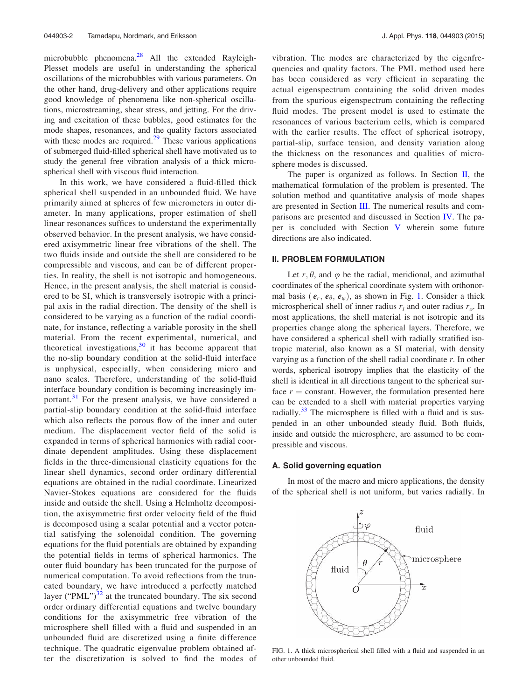microbubble phenomena.<sup>28</sup> All the extended Rayleigh-Plesset models are useful in understanding the spherical oscillations of the microbubbles with various parameters. On the other hand, drug-delivery and other applications require good knowledge of phenomena like non-spherical oscillations, microstreaming, shear stress, and jetting. For the driving and excitation of these bubbles, good estimates for the mode shapes, resonances, and the quality factors associated with these modes are required. $29$  These various applications of submerged fluid-filled spherical shell have motivated us to study the general free vibration analysis of a thick microspherical shell with viscous fluid interaction.

In this work, we have considered a fluid-filled thick spherical shell suspended in an unbounded fluid. We have primarily aimed at spheres of few micrometers in outer diameter. In many applications, proper estimation of shell linear resonances suffices to understand the experimentally observed behavior. In the present analysis, we have considered axisymmetric linear free vibrations of the shell. The two fluids inside and outside the shell are considered to be compressible and viscous, and can be of different properties. In reality, the shell is not isotropic and homogeneous. Hence, in the present analysis, the shell material is considered to be SI, which is transversely isotropic with a principal axis in the radial direction. The density of the shell is considered to be varying as a function of the radial coordinate, for instance, reflecting a variable porosity in the shell material. From the recent experimental, numerical, and theoretical investigations, $30$  it has become apparent that the no-slip boundary condition at the solid-fluid interface is unphysical, especially, when considering micro and nano scales. Therefore, understanding of the solid-fluid interface boundary condition is becoming increasingly important.<sup>31</sup> For the present analysis, we have considered a partial-slip boundary condition at the solid-fluid interface which also reflects the porous flow of the inner and outer medium. The displacement vector field of the solid is expanded in terms of spherical harmonics with radial coordinate dependent amplitudes. Using these displacement fields in the three-dimensional elasticity equations for the linear shell dynamics, second order ordinary differential equations are obtained in the radial coordinate. Linearized Navier-Stokes equations are considered for the fluids inside and outside the shell. Using a Helmholtz decomposition, the axisymmetric first order velocity field of the fluid is decomposed using a scalar potential and a vector potential satisfying the solenoidal condition. The governing equations for the fluid potentials are obtained by expanding the potential fields in terms of spherical harmonics. The outer fluid boundary has been truncated for the purpose of numerical computation. To avoid reflections from the truncated boundary, we have introduced a perfectly matched layer ("PML") $^{32}$  at the truncated boundary. The six second order ordinary differential equations and twelve boundary conditions for the axisymmetric free vibration of the microsphere shell filled with a fluid and suspended in an unbounded fluid are discretized using a finite difference technique. The quadratic eigenvalue problem obtained after the discretization is solved to find the modes of vibration. The modes are characterized by the eigenfrequencies and quality factors. The PML method used here has been considered as very efficient in separating the actual eigenspectrum containing the solid driven modes from the spurious eigenspectrum containing the reflecting fluid modes. The present model is used to estimate the resonances of various bacterium cells, which is compared with the earlier results. The effect of spherical isotropy, partial-slip, surface tension, and density variation along the thickness on the resonances and qualities of microsphere modes is discussed.

The paper is organized as follows. In Section  $II$ , the mathematical formulation of the problem is presented. The solution method and quantitative analysis of mode shapes are presented in Section III. The numerical results and comparisons are presented and discussed in Section IV. The paper is concluded with Section V wherein some future directions are also indicated.

## II. PROBLEM FORMULATION

Let  $r, \theta$ , and  $\varphi$  be the radial, meridional, and azimuthal coordinates of the spherical coordinate system with orthonormal basis  $(e_r, e_\theta, e_\varphi)$ , as shown in Fig. 1. Consider a thick microspherical shell of inner radius  $r_i$  and outer radius  $r_o$ . In most applications, the shell material is not isotropic and its properties change along the spherical layers. Therefore, we have considered a spherical shell with radially stratified isotropic material, also known as a SI material, with density varying as a function of the shell radial coordinate  $r$ . In other words, spherical isotropy implies that the elasticity of the shell is identical in all directions tangent to the spherical surface  $r = constant$ . However, the formulation presented here can be extended to a shell with material properties varying radially. $33$  The microsphere is filled with a fluid and is suspended in an other unbounded steady fluid. Both fluids, inside and outside the microsphere, are assumed to be compressible and viscous.

## A. Solid governing equation

In most of the macro and micro applications, the density of the spherical shell is not uniform, but varies radially. In



FIG. 1. A thick microspherical shell filled with a fluid and suspended in an other unbounded fluid.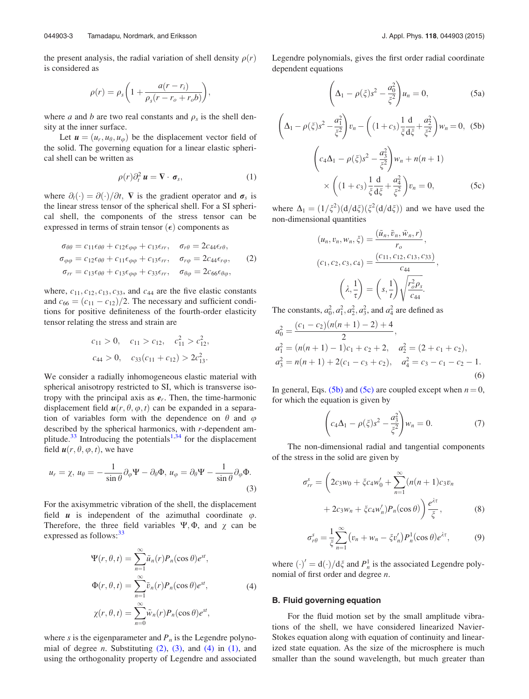the present analysis, the radial variation of shell density  $\rho(r)$ is considered as

$$
\rho(r) = \rho_s \bigg( 1 + \frac{a(r - r_i)}{\rho_s (r - r_o + r_o b)} \bigg),
$$

where *a* and *b* are two real constants and  $\rho_s$  is the shell density at the inner surface.

Let  $u = (u_r, u_\theta, u_\phi)$  be the displacement vector field of the solid. The governing equation for a linear elastic spherical shell can be written as

$$
\rho(r)\partial_t^2 \mathbf{u} = \nabla \cdot \boldsymbol{\sigma}_s,\tag{1}
$$

where  $\partial_t(\cdot) = \partial(\cdot)/\partial t$ , **V** is the gradient operator and  $\sigma_s$  is the linear stress tensor of the spherical shell. For a SI spherical shell, the components of the stress tensor can be expressed in terms of strain tensor  $(\epsilon)$  components as

$$
\sigma_{\theta\theta} = c_{11}\epsilon_{\theta\theta} + c_{12}\epsilon_{\varphi\varphi} + c_{13}\epsilon_{rr}, \quad \sigma_{r\theta} = 2c_{44}\epsilon_{r\theta},
$$
  
\n
$$
\sigma_{\varphi\varphi} = c_{12}\epsilon_{\theta\theta} + c_{11}\epsilon_{\varphi\varphi} + c_{13}\epsilon_{rr}, \quad \sigma_{r\varphi} = 2c_{44}\epsilon_{r\varphi}, \quad (2)
$$
  
\n
$$
\sigma_{rr} = c_{13}\epsilon_{\theta\theta} + c_{13}\epsilon_{\varphi\varphi} + c_{33}\epsilon_{rr}, \quad \sigma_{\theta\varphi} = 2c_{66}\epsilon_{\theta\varphi},
$$

where,  $c_{11}$ ,  $c_{12}$ ,  $c_{13}$ ,  $c_{33}$ , and  $c_{44}$  are the five elastic constants and  $c_{66} = (c_{11} - c_{12})/2$ . The necessary and sufficient conditions for positive definiteness of the fourth-order elasticity tensor relating the stress and strain are

$$
c_{11} > 0
$$
,  $c_{11} > c_{12}$ ,  $c_{11}^2 > c_{12}^2$ ,  
\n $c_{44} > 0$ ,  $c_{33}(c_{11} + c_{12}) > 2c_{13}^2$ .

We consider a radially inhomogeneous elastic material with spherical anisotropy restricted to SI, which is transverse isotropy with the principal axis as  $e_r$ . Then, the time-harmonic displacement field  $u(r, \theta, \varphi, t)$  can be expanded in a separation of variables form with the dependence on  $\theta$  and  $\varphi$ described by the spherical harmonics, with r-dependent amplitude.<sup>33</sup> Introducing the potentials<sup>1,34</sup> for the displacement field  $u(r, \theta, \varphi, t)$ , we have

$$
u_r = \chi, u_\theta = -\frac{1}{\sin \theta} \partial_\varphi \Psi - \partial_\theta \Phi, u_\varphi = \partial_\theta \Psi - \frac{1}{\sin \theta} \partial_\varphi \Phi.
$$
\n(3)

For the axisymmetric vibration of the shell, the displacement field  $\boldsymbol{u}$  is independent of the azimuthal coordinate  $\varphi$ . Therefore, the three field variables  $\Psi$ ,  $\Phi$ , and  $\chi$  can be expressed as follows: 33

$$
\Psi(r,\theta,t) = \sum_{n=1}^{\infty} \tilde{u}_n(r) P_n(\cos\theta) e^{st},
$$
  

$$
\Phi(r,\theta,t) = \sum_{n=1}^{\infty} \tilde{v}_n(r) P_n(\cos\theta) e^{st},
$$
  

$$
\chi(r,\theta,t) = \sum_{n=0}^{\infty} \tilde{w}_n(r) P_n(\cos\theta) e^{st},
$$
 (4)

where s is the eigenparameter and  $P_n$  is the Legendre polynomial of degree *n*. Substituting  $(2)$ ,  $(3)$ , and  $(4)$  in  $(1)$ , and using the orthogonality property of Legendre and associated Legendre polynomials, gives the first order radial coordinate dependent equations

$$
\left(\Delta_1 - \rho(\xi)s^2 - \frac{a_0^2}{\xi^2}\right)u_n = 0, \tag{5a}
$$

$$
\left(\Delta_{1} - \rho(\xi)s^{2} - \frac{a_{1}^{2}}{\xi^{2}}\right)v_{n} - \left((1+c_{3})\frac{1}{\xi}\frac{d}{d\xi} + \frac{a_{2}^{2}}{\xi^{2}}\right)w_{n} = 0, (5b)
$$
\n
$$
\left(c_{4}\Delta_{1} - \rho(\xi)s^{2} - \frac{a_{3}^{2}}{\xi^{2}}\right)w_{n} + n(n+1)
$$
\n
$$
\times \left((1+c_{3})\frac{1}{\xi}\frac{d}{d\xi} + \frac{a_{4}^{2}}{\xi^{2}}\right)v_{n} = 0, (5c)
$$

where  $\Delta_1 = (1/\xi^2)(d/d\xi)(\xi^2(d/d\xi))$  and we have used the non-dimensional quantities

$$
(u_n, v_n, w_n, \xi) = \frac{(\tilde{u}_n, \tilde{v}_n, \tilde{w}_n, r)}{r_o},
$$

$$
(c_1, c_2, c_3, c_4) = \frac{(c_{11}, c_{12}, c_{13}, c_{33})}{c_{44}},
$$

$$
\left(\lambda, \frac{1}{\tau}\right) = \left(s, \frac{1}{t}\right) \sqrt{\frac{r_o^2 \rho_s}{c_{44}}}.
$$

The constants,  $a_0^2$ ,  $a_1^2$ ,  $a_2^2$ ,  $a_3^2$ , and  $a_4^2$  are defined as

$$
a_0^2 = \frac{(c_1 - c_2)(n(n+1) - 2) + 4}{2},
$$
  
\n
$$
a_1^2 = (n(n+1) - 1)c_1 + c_2 + 2, \quad a_2^2 = (2 + c_1 + c_2),
$$
  
\n
$$
a_3^2 = n(n+1) + 2(c_1 - c_3 + c_2), \quad a_4^2 = c_3 - c_1 - c_2 - 1.
$$
  
\n(6)

In general, Eqs. (5b) and (5c) are coupled except when  $n = 0$ , for which the equation is given by

$$
\left(c_4\Delta_1 - \rho(\xi)s^2 - \frac{a_3^2}{\xi^2}\right)w_n = 0.
$$
 (7)

The non-dimensional radial and tangential components of the stress in the solid are given by

$$
\sigma_{rr}^s = \left(2c_3w_0 + \xi c_4w'_0 + \sum_{n=1}^{\infty} (n(n+1)c_3v_n + 2c_3w_n + \xi c_4w'_n)P_n(\cos\theta)\right)\frac{e^{\lambda\tau}}{\xi},\tag{8}
$$

$$
\sigma_{r\theta}^s = \frac{1}{\xi} \sum_{n=1}^{\infty} \left( v_n + w_n - \xi v_n' \right) P_n^1(\cos \theta) e^{\lambda \tau}, \tag{9}
$$

where  $(\cdot)' = d(\cdot)/d\xi$  and  $P_n^1$  is the associated Legendre polynomial of first order and degree n.

### B. Fluid governing equation

For the fluid motion set by the small amplitude vibrations of the shell, we have considered linearized Navier-Stokes equation along with equation of continuity and linearized state equation. As the size of the microsphere is much smaller than the sound wavelength, but much greater than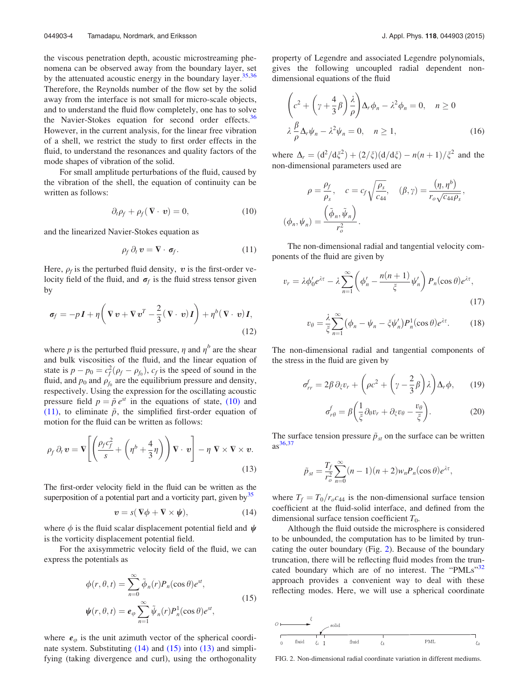the viscous penetration depth, acoustic microstreaming phenomena can be observed away from the boundary layer, set by the attenuated acoustic energy in the boundary layer.  $35,36$ Therefore, the Reynolds number of the flow set by the solid away from the interface is not small for micro-scale objects, and to understand the fluid flow completely, one has to solve the Navier-Stokes equation for second order effects.<sup>36</sup> However, in the current analysis, for the linear free vibration of a shell, we restrict the study to first order effects in the fluid, to understand the resonances and quality factors of the mode shapes of vibration of the solid.

For small amplitude perturbations of the fluid, caused by the vibration of the shell, the equation of continuity can be written as follows:

$$
\partial_t \rho_f + \rho_f (\nabla \cdot \mathbf{v}) = 0, \qquad (10)
$$

and the linearized Navier-Stokes equation as

$$
\rho_f \, \partial_t \, \boldsymbol{v} = \nabla \cdot \boldsymbol{\sigma}_f. \tag{11}
$$

Here,  $\rho_f$  is the perturbed fluid density, v is the first-order velocity field of the fluid, and  $\sigma_f$  is the fluid stress tensor given by

$$
\sigma_f = -p\mathbf{I} + \eta \left( \nabla \mathbf{v} + \nabla \mathbf{v}^T - \frac{2}{3} (\nabla \cdot \mathbf{v}) \mathbf{I} \right) + \eta^b (\nabla \cdot \mathbf{v}) \mathbf{I},
$$
\n(12)

where p is the perturbed fluid pressure,  $\eta$  and  $\eta^b$  are the shear and bulk viscosities of the fluid, and the linear equation of state is  $p - p_0 = c_f^2(\rho_f - \rho_{f_0})$ ,  $c_f$  is the speed of sound in the fluid, and  $p_0$  and  $\rho_{f_0}$  are the equilibrium pressure and density, respectively. Using the expression for the oscillating acoustic pressure field  $p = \tilde{p} e^{st}$  in the equations of state, (10) and (11), to eliminate  $\tilde{p}$ , the simplified first-order equation of motion for the fluid can be written as follows:

$$
\rho_f \, \partial_t \, \mathbf{v} = \mathbf{V} \Bigg[ \Bigg( \frac{\rho_f c_f^2}{s} + \Bigg( \eta^b + \frac{4}{3} \eta \Bigg) \Bigg) \, \mathbf{V} \cdot \, \mathbf{v} \Bigg] - \eta \, \mathbf{V} \times \mathbf{V} \times \mathbf{v}.
$$
\n(13)

The first-order velocity field in the fluid can be written as the superposition of a potential part and a vorticity part, given by<sup>35</sup>

$$
v = s(\nabla \phi + \nabla \times \psi), \tag{14}
$$

where  $\phi$  is the fluid scalar displacement potential field and  $\psi$ is the vorticity displacement potential field.

For the axisymmetric velocity field of the fluid, we can express the potentials as

$$
\phi(r,\theta,t) = \sum_{n=0}^{\infty} \tilde{\phi}_n(r) P_n(\cos \theta) e^{st},
$$
  

$$
\psi(r,\theta,t) = e_{\varphi} \sum_{n=1}^{\infty} \tilde{\psi}_n(r) P_n^1(\cos \theta) e^{st},
$$
\n(15)

where  $e_{\varphi}$  is the unit azimuth vector of the spherical coordinate system. Substituting (14) and (15) into (13) and simplifying (taking divergence and curl), using the orthogonality property of Legendre and associated Legendre polynomials, gives the following uncoupled radial dependent nondimensional equations of the fluid

$$
\left(c^2 + \left(\gamma + \frac{4}{3}\beta\right)\frac{\lambda}{\rho}\right)\Delta_r\phi_n - \lambda^2\phi_n = 0, \quad n \ge 0
$$
  

$$
\lambda \frac{\beta}{\rho}\Delta_r\psi_n - \lambda^2\psi_n = 0, \quad n \ge 1,
$$
 (16)

where  $\Delta_r = (d^2/d\xi^2) + (2/\xi)(d/d\xi) - n(n+1)/\xi^2$  and the non-dimensional parameters used are

$$
\rho = \frac{\rho_f}{\rho_s}, \quad c = c_f \sqrt{\frac{\rho_s}{c_{44}}}, \quad (\beta, \gamma) = \frac{(\eta, \eta^b)}{r_o \sqrt{c_{44} \rho_s}},
$$

$$
(\phi_n, \psi_n) = \frac{\left(\tilde{\phi}_n, \tilde{\psi}_n\right)}{r_o^2}.
$$

The non-dimensional radial and tangential velocity components of the fluid are given by

$$
v_r = \lambda \phi_0' e^{\lambda \tau} - \lambda \sum_{n=1}^{\infty} \left( \phi_n' - \frac{n(n+1)}{\xi} \psi_n' \right) P_n(\cos \theta) e^{\lambda \tau},\tag{17}
$$

$$
v_{\theta} = \frac{\lambda}{\xi} \sum_{n=1}^{\infty} (\phi_n - \psi_n - \xi \psi'_n) P_n^1(\cos \theta) e^{\lambda \tau}.
$$
 (18)

The non-dimensional radial and tangential components of the stress in the fluid are given by

$$
\sigma_{rr}^f = 2\beta \,\partial_{\xi} v_r + \left(\rho c^2 + \left(\gamma - \frac{2}{3}\beta\right)\lambda\right) \Delta_r \phi, \qquad (19)
$$

$$
\sigma_{r\theta}^f = \beta \left( \frac{1}{\xi} \partial_\theta v_r + \partial_\xi v_\theta - \frac{v_\theta}{\xi} \right).
$$
 (20)

The surface tension pressure  $\tilde{p}_{st}$  on the surface can be written  $as^{36,37}$ 

$$
\tilde{p}_{st} = \frac{T_f}{r_o^2} \sum_{n=0}^{\infty} (n-1)(n+2) w_n P_n(\cos \theta) e^{\lambda \tau},
$$

where  $T_f = T_0/r_0 c_{44}$  is the non-dimensional surface tension coefficient at the fluid-solid interface, and defined from the dimensional surface tension coefficient  $T_0$ .

Although the fluid outside the microsphere is considered to be unbounded, the computation has to be limited by truncating the outer boundary (Fig. 2). Because of the boundary truncation, there will be reflecting fluid modes from the truncated boundary which are of no interest. The "PMLs"<sup>32</sup> approach provides a convenient way to deal with these reflecting modes. Here, we will use a spherical coordinate



FIG. 2. Non-dimensional radial coordinate variation in different mediums.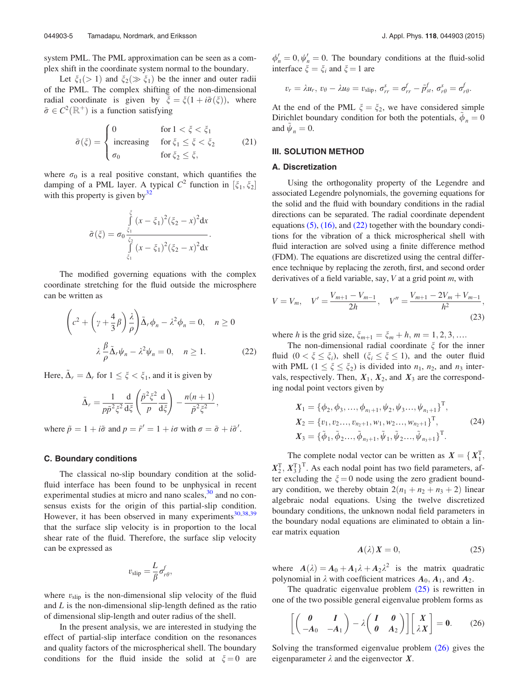system PML. The PML approximation can be seen as a complex shift in the coordinate system normal to the boundary.

Let  $\xi_1$ (> 1) and  $\xi_2$ ( $\gg \xi_1$ ) be the inner and outer radii of the PML. The complex shifting of the non-dimensional radial coordinate is given by  $\xi = \xi(1 + i\tilde{\sigma}(\xi))$ , where  $\tilde{\sigma} \in C^2(\mathbb{R}^+)$  is a function satisfying

$$
\tilde{\sigma}(\xi) = \begin{cases}\n0 & \text{for } 1 < \xi < \xi_1 \\
\text{increasing} & \text{for } \xi_1 \le \xi < \xi_2 \\
\sigma_0 & \text{for } \xi_2 \le \xi,\n\end{cases}
$$
\n(21)

where  $\sigma_0$  is a real positive constant, which quantifies the damping of a PML layer. A typical  $C^2$  function in  $[\xi_1, \xi_2]$ with this property is given by  $32$ 

$$
\tilde{\sigma}(\xi) = \sigma_0 \frac{\int_{\xi_1}^{\xi} (x - \xi_1)^2 (\xi_2 - x)^2 dx}{\int_{\xi_1}^{\xi_2} (x - \xi_1)^2 (\xi_2 - x)^2 dx}.
$$

The modified governing equations with the complex coordinate stretching for the fluid outside the microsphere can be written as

$$
\left(c^2 + \left(\gamma + \frac{4}{3}\beta\right)\frac{\lambda}{\rho}\right)\tilde{\Delta}_r\phi_n - \lambda^2\phi_n = 0, \quad n \ge 0
$$
  

$$
\lambda \frac{\beta}{\rho}\tilde{\Delta}_r\psi_n - \lambda^2\psi_n = 0, \quad n \ge 1.
$$
 (22)

Here,  $\tilde{\Delta}_r = \Delta_r$  for  $1 \leq \xi < \xi_1$ , and it is given by

$$
\tilde{\Delta}_r = \frac{1}{p\tilde{p}^2\xi^2} \frac{\mathrm{d}}{\mathrm{d}\xi} \left( \frac{\tilde{p}^2\xi^2}{p} \frac{\mathrm{d}}{\mathrm{d}\xi} \right) - \frac{n(n+1)}{\tilde{p}^2\xi^2},
$$

where  $\tilde{p} = 1 + i\tilde{\sigma}$  and  $p = \tilde{r}' = 1 + i\sigma$  with  $\sigma = \tilde{\sigma} + i\tilde{\sigma}'$ .

## C. Boundary conditions

The classical no-slip boundary condition at the solidfluid interface has been found to be unphysical in recent experimental studies at micro and nano scales,<sup>30</sup> and no consensus exists for the origin of this partial-slip condition. However, it has been observed in many experiments $30,38,39$ that the surface slip velocity is in proportion to the local shear rate of the fluid. Therefore, the surface slip velocity can be expressed as

$$
v_{\rm slip} = \frac{L}{\beta} \sigma_{r\theta}^f,
$$

where  $v_{\text{slip}}$  is the non-dimensional slip velocity of the fluid and  $L$  is the non-dimensional slip-length defined as the ratio of dimensional slip-length and outer radius of the shell.

In the present analysis, we are interested in studying the effect of partial-slip interface condition on the resonances and quality factors of the microspherical shell. The boundary conditions for the fluid inside the solid at  $\xi = 0$  are

 $\phi'_n = 0$ ,  $\psi'_n = 0$ . The boundary conditions at the fluid-solid interface  $\xi = \xi_i$  and  $\xi = 1$  are

$$
v_r = \lambda u_r, v_\theta - \lambda u_\theta = v_{\text{slip}}, \sigma_{rr}^s = \sigma_{rr}^f - \tilde{p}_{st}^f, \sigma_{r\theta}^s = \sigma_{r\theta}^f.
$$

At the end of the PML  $\xi = \xi_2$ , we have considered simple Dirichlet boundary condition for both the potentials,  $\phi_n = 0$ and  $\tilde{\psi}_n = 0$ .

# III. SOLUTION METHOD

# A. Discretization

Using the orthogonality property of the Legendre and associated Legendre polynomials, the governing equations for the solid and the fluid with boundary conditions in the radial directions can be separated. The radial coordinate dependent equations  $(5)$ ,  $(16)$ , and  $(22)$  together with the boundary conditions for the vibration of a thick microspherical shell with fluid interaction are solved using a finite difference method (FDM). The equations are discretized using the central difference technique by replacing the zeroth, first, and second order derivatives of a field variable, say,  $V$  at a grid point  $m$ , with

$$
V = V_m, \quad V' = \frac{V_{m+1} - V_{m-1}}{2h}, \quad V'' = \frac{V_{m+1} - 2V_m + V_{m-1}}{h^2},\tag{23}
$$

where h is the grid size,  $\xi_{m+1} = \xi_m + h$ ,  $m = 1, 2, 3, \dots$ 

The non-dimensional radial coordinate  $\xi$  for the inner fluid  $(0 < \xi \le \xi_i)$ , shell  $(\xi_i \le \xi \le 1)$ , and the outer fluid with PML  $(1 \leq \xi \leq \xi_2)$  is divided into  $n_1$ ,  $n_2$ , and  $n_3$  intervals, respectively. Then,  $X_1, X_2$ , and  $X_3$  are the corresponding nodal point vectors given by

$$
X_1 = \{\phi_2, \phi_3, ..., \phi_{n_1+1}, \psi_2, \psi_3, ..., \psi_{n_1+1}\}^T,
$$
  
\n
$$
X_2 = \{v_1, v_2, ..., v_{n_2+1}, w_1, w_2, ..., w_{n_2+1}\}^T,
$$
  
\n
$$
X_3 = \{\tilde{\phi}_1, \tilde{\phi}_2, ..., \tilde{\phi}_{n_3+1}, \tilde{\psi}_1, \tilde{\psi}_2, ..., \tilde{\psi}_{n_3+1}\}^T.
$$
\n(24)

The complete nodal vector can be written as  $X = \{X_1^T, \dots, X_n^T\}$  $X_2^T, X_3^T$ <sup>T</sup>. As each nodal point has two field parameters, after excluding the  $\xi = 0$  node using the zero gradient boundary condition, we thereby obtain  $2(n_1 + n_2 + n_3 + 2)$  linear algebraic nodal equations. Using the twelve discretized boundary conditions, the unknown nodal field parameters in the boundary nodal equations are eliminated to obtain a linear matrix equation

$$
A(\lambda) X = 0, \tag{25}
$$

where  $A(\lambda) = A_0 + A_1 \lambda + A_2 \lambda^2$  is the matrix quadratic polynomial in  $\lambda$  with coefficient matrices  $A_0$ ,  $A_1$ , and  $A_2$ .

The quadratic eigenvalue problem (25) is rewritten in one of the two possible general eigenvalue problem forms as

$$
\left[\begin{pmatrix} \mathbf{0} & I \\ -A_0 & -A_1 \end{pmatrix} - \lambda \begin{pmatrix} I & \mathbf{0} \\ \mathbf{0} & A_2 \end{pmatrix}\right] \begin{bmatrix} X \\ \lambda X \end{bmatrix} = \mathbf{0}. \tag{26}
$$

Solving the transformed eigenvalue problem (26) gives the eigenparameter  $\lambda$  and the eigenvector X.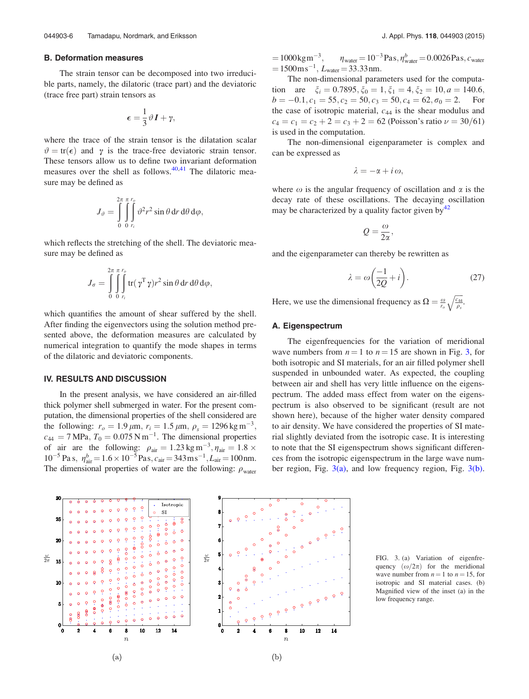## B. Deformation measures

The strain tensor can be decomposed into two irreducible parts, namely, the dilatoric (trace part) and the deviatoric (trace free part) strain tensors as

$$
\epsilon = \frac{1}{3}\vartheta \, \bm{I} + \gamma,
$$

where the trace of the strain tensor is the dilatation scalar  $\vartheta = \text{tr}(\epsilon)$  and  $\gamma$  is the trace-free deviatoric strain tensor. These tensors allow us to define two invariant deformation measures over the shell as follows.<sup>40,41</sup> The dilatoric measure may be defined as

$$
J_{\vartheta} = \int\limits^{2\pi}_0 \int\limits^{ \pi r_{\vartheta}}_{0 \, r_i} \vartheta^2 r^2 \sin \theta \, dr \, d\theta \, d\varphi,
$$

which reflects the stretching of the shell. The deviatoric measure may be defined as

$$
J_{\sigma} = \int\limits^{2\pi}_0 \int\limits^{r_{\sigma}}_{0} \int\limits^{r_{\sigma}}_{r_i} tr(\gamma^{\mathrm{T}} \gamma) r^2 \sin \theta \, \mathrm{d}r \, \mathrm{d}\theta \, \mathrm{d}\varphi,
$$

which quantifies the amount of shear suffered by the shell. After finding the eigenvectors using the solution method presented above, the deformation measures are calculated by numerical integration to quantify the mode shapes in terms of the dilatoric and deviatoric components.

## IV. RESULTS AND DISCUSSION

In the present analysis, we have considered an air-filled thick polymer shell submerged in water. For the present computation, the dimensional properties of the shell considered are the following:  $r_o = 1.9 \,\mu \text{m}$ ,  $r_i = 1.5 \,\mu \text{m}$ ,  $\rho_s = 1296 \,\text{kg m}^{-3}$ ,  $c_{44} = 7 \text{ MPa}, T_0 = 0.075 \text{ N m}^{-1}$ . The dimensional properties of air are the following:  $\rho_{\text{air}} = 1.23 \text{ kg m}^{-3}, \eta_{\text{air}} = 1.8 \times$  $10^{-5}$  Pa s,  $\eta_{air}^{b} = 1.6 \times 10^{-5}$  Pas,  $c_{air} = 343$  m s<sup>-1</sup>,  $L_{air} = 100$  nm. The dimensional properties of water are the following:  $\rho_{\text{water}}$   $=1000$ kgm<sup>-3</sup>  $,\qquad \eta_{\text{water}} = 10^{-3}\,\text{Pa}\,\text{s}, \eta_{\text{water}}^b = 0.0026\,\text{Pa}\,\text{s}, c_{\text{water}}$  $=1500 \text{m s}^{-1}$ ,  $L_{\text{water}} = 33.33 \text{nm}$ .

The non-dimensional parameters used for the computation are  $\xi_i = 0.7895, \xi_0 = 1, \xi_1 = 4, \xi_2 = 10, a = 140.6$ ,  $b = -0.1, c_1 = 55, c_2 = 50, c_3 = 50, c_4 = 62, \sigma_0 = 2.$  For the case of isotropic material,  $c_{44}$  is the shear modulus and  $c_4 = c_1 = c_2 + 2 = c_3 + 2 = 62$  (Poisson's ratio  $\nu = 30/61$ ) is used in the computation.

The non-dimensional eigenparameter is complex and can be expressed as

$$
\lambda=-\alpha+i\,\omega,
$$

where  $\omega$  is the angular frequency of oscillation and  $\alpha$  is the decay rate of these oscillations. The decaying oscillation may be characterized by a quality factor given by $42$ 

$$
Q=\frac{\omega}{2\alpha},
$$

and the eigenparameter can thereby be rewritten as

$$
\lambda = \omega \left( \frac{-1}{2Q} + i \right). \tag{27}
$$

Here, we use the dimensional frequency as  $\Omega = \frac{\omega}{r_o} \sqrt{\frac{c_{44}}{\rho_s}}$ .

# A. Eigenspectrum

The eigenfrequencies for the variation of meridional wave numbers from  $n = 1$  to  $n = 15$  are shown in Fig. 3, for both isotropic and SI materials, for an air filled polymer shell suspended in unbounded water. As expected, the coupling between air and shell has very little influence on the eigenspectrum. The added mass effect from water on the eigenspectrum is also observed to be significant (result are not shown here), because of the higher water density compared to air density. We have considered the properties of SI material slightly deviated from the isotropic case. It is interesting to note that the SI eigenspectrum shows significant differences from the isotropic eigenspectrum in the large wave number region, Fig.  $3(a)$ , and low frequency region, Fig.  $3(b)$ .



FIG. 3. (a) Variation of eigenfrequency  $(\omega/2\pi)$  for the meridional wave number from  $n = 1$  to  $n = 15$ , for isotropic and SI material cases. (b) Magnified view of the inset (a) in the low frequency range.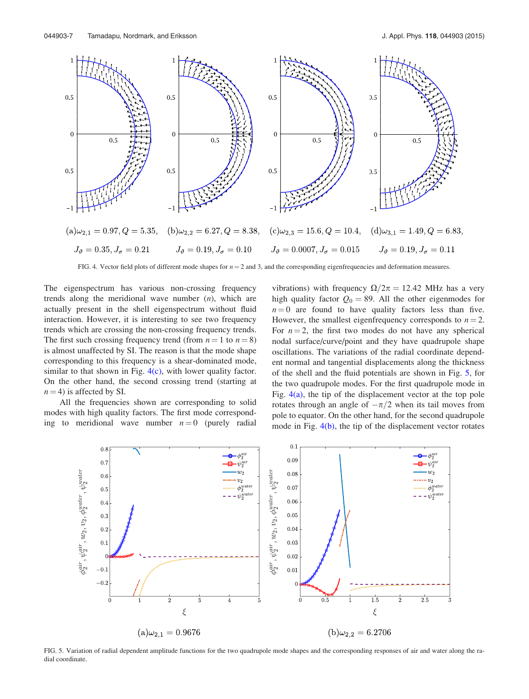

FIG. 4. Vector field plots of different mode shapes for  $n = 2$  and 3, and the corresponding eigenfrequencies and deformation measures.

The eigenspectrum has various non-crossing frequency trends along the meridional wave number  $(n)$ , which are actually present in the shell eigenspectrum without fluid interaction. However, it is interesting to see two frequency trends which are crossing the non-crossing frequency trends. The first such crossing frequency trend (from  $n = 1$  to  $n = 8$ ) is almost unaffected by SI. The reason is that the mode shape corresponding to this frequency is a shear-dominated mode, similar to that shown in Fig.  $4(c)$ , with lower quality factor. On the other hand, the second crossing trend (starting at  $n = 4$ ) is affected by SI.

All the frequencies shown are corresponding to solid modes with high quality factors. The first mode corresponding to meridional wave number  $n = 0$  (purely radial vibrations) with frequency  $\Omega/2\pi = 12.42$  MHz has a very high quality factor  $Q_0 = 89$ . All the other eigenmodes for  $n = 0$  are found to have quality factors less than five. However, the smallest eigenfrequency corresponds to  $n = 2$ . For  $n = 2$ , the first two modes do not have any spherical nodal surface/curve/point and they have quadrupole shape oscillations. The variations of the radial coordinate dependent normal and tangential displacements along the thickness of the shell and the fluid potentials are shown in Fig. 5, for the two quadrupole modes. For the first quadrupole mode in Fig.  $4(a)$ , the tip of the displacement vector at the top pole rotates through an angle of  $-\pi/2$  when its tail moves from pole to equator. On the other hand, for the second quadrupole mode in Fig. 4(b), the tip of the displacement vector rotates



FIG. 5. Variation of radial dependent amplitude functions for the two quadrupole mode shapes and the corresponding responses of air and water along the radial coordinate.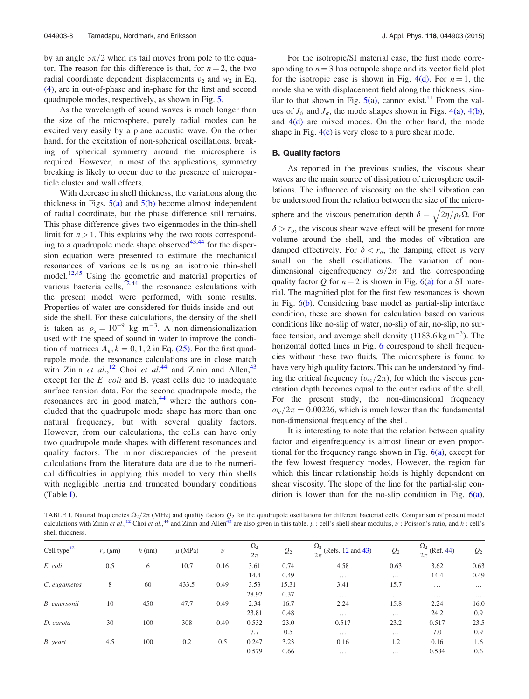by an angle  $3\pi/2$  when its tail moves from pole to the equator. The reason for this difference is that, for  $n = 2$ , the two radial coordinate dependent displacements  $v_2$  and  $w_2$  in Eq. (4), are in out-of-phase and in-phase for the first and second quadrupole modes, respectively, as shown in Fig. 5.

As the wavelength of sound waves is much longer than the size of the microsphere, purely radial modes can be excited very easily by a plane acoustic wave. On the other hand, for the excitation of non-spherical oscillations, breaking of spherical symmetry around the microsphere is required. However, in most of the applications, symmetry breaking is likely to occur due to the presence of microparticle cluster and wall effects.

With decrease in shell thickness, the variations along the thickness in Figs.  $5(a)$  and  $5(b)$  become almost independent of radial coordinate, but the phase difference still remains. This phase difference gives two eigenmodes in the thin-shell limit for  $n > 1$ . This explains why the two roots corresponding to a quadrupole mode shape observed $43,44$  for the dispersion equation were presented to estimate the mechanical resonances of various cells using an isotropic thin-shell model.<sup>12,45</sup> Using the geometric and material properties of various bacteria cells, $12,44$  the resonance calculations with the present model were performed, with some results. Properties of water are considered for fluids inside and outside the shell. For these calculations, the density of the shell is taken as  $\rho_s = 10^{-9}$  kg m<sup>-3</sup>. A non-dimensionalization used with the speed of sound in water to improve the condition of matrices  $A_k$ ,  $k = 0, 1, 2$  in Eq. (25). For the first quadrupole mode, the resonance calculations are in close match with Zinin et al.,<sup>12</sup> Choi et al.<sup>44</sup> and Zinin and Allen,<sup>43</sup> except for the E. coli and B. yeast cells due to inadequate surface tension data. For the second quadrupole mode, the resonances are in good match,<sup>44</sup> where the authors concluded that the quadrupole mode shape has more than one natural frequency, but with several quality factors. However, from our calculations, the cells can have only two quadrupole mode shapes with different resonances and quality factors. The minor discrepancies of the present calculations from the literature data are due to the numerical difficulties in applying this model to very thin shells with negligible inertia and truncated boundary conditions (Table I).

For the isotropic/SI material case, the first mode corresponding to  $n = 3$  has octupole shape and its vector field plot for the isotropic case is shown in Fig. 4(d). For  $n = 1$ , the mode shape with displacement field along the thickness, similar to that shown in Fig.  $5(a)$ , cannot exist.<sup>41</sup> From the values of  $J_{\vartheta}$  and  $J_{\sigma}$ , the mode shapes shown in Figs. 4(a), 4(b), and  $4(d)$  are mixed modes. On the other hand, the mode shape in Fig.  $4(c)$  is very close to a pure shear mode.

#### B. Quality factors

As reported in the previous studies, the viscous shear waves are the main source of dissipation of microsphere oscillations. The influence of viscosity on the shell vibration can be understood from the relation between the size of the microsphere and the viscous penetration depth  $\delta = \sqrt{2\eta/\rho_f \Omega}$ . For  $\delta > r_o$ , the viscous shear wave effect will be present for more volume around the shell, and the modes of vibration are damped effectively. For  $\delta < r_o$ , the damping effect is very small on the shell oscillations. The variation of nondimensional eigenfrequency  $\omega/2\pi$  and the corresponding quality factor Q for  $n = 2$  is shown in Fig. 6(a) for a SI material. The magnified plot for the first few resonances is shown in Fig. 6(b). Considering base model as partial-slip interface condition, these are shown for calculation based on various conditions like no-slip of water, no-slip of air, no-slip, no surface tension, and average shell density  $(1183.6 \text{ kg m}^{-3})$ . The horizontal dotted lines in Fig. 6 correspond to shell frequencies without these two fluids. The microsphere is found to have very high quality factors. This can be understood by finding the critical frequency  $(\omega_c/2\pi)$ , for which the viscous penetration depth becomes equal to the outer radius of the shell. For the present study, the non-dimensional frequency  $\omega_c/2\pi = 0.00226$ , which is much lower than the fundamental non-dimensional frequency of the shell.

It is interesting to note that the relation between quality factor and eigenfrequency is almost linear or even proportional for the frequency range shown in Fig.  $6(a)$ , except for the few lowest frequency modes. However, the region for which this linear relationship holds is highly dependent on shear viscosity. The slope of the line for the partial-slip condition is lower than for the no-slip condition in Fig. 6(a).

TABLE I. Natural frequencies  $\Omega_2/\sqrt{2\pi}$  (MHz) and quality factors  $Q_2$  for the quadrupole oscillations for different bacterial cells. Comparison of present model calculations with Zinin et al.,<sup>12</sup> Choi et al.,<sup>44</sup> and Zinin and Allen<sup>43</sup> are also given in this table.  $\mu$  : cell's shell shear modulus,  $\nu$  : Poisson's ratio, and h : cell's shell thickness.

| Cell type <sup>12</sup> | $r_o$ ( $\mu$ m) | $h$ (nm) | $\mu$ (MPa) | $\nu$ | $\Omega_2$ | $Q_2$ | $\Omega_2$<br>(Refs. 12 and 43)<br>$\frac{1}{2\pi}$ | $Q_2$    | $\Omega_2$<br>$\frac{12}{2\pi}$ (Ref. 44) | $Q_2$    |
|-------------------------|------------------|----------|-------------|-------|------------|-------|-----------------------------------------------------|----------|-------------------------------------------|----------|
| E. coli                 | 0.5              | 6        | 10.7        | 0.16  | 3.61       | 0.74  | 4.58                                                | 0.63     | 3.62                                      | 0.63     |
|                         |                  |          |             |       | 14.4       | 0.49  | $\cdots$                                            | $\cdots$ | 14.4                                      | 0.49     |
| C. eugametos            | 8                | 60       | 433.5       | 0.49  | 3.53       | 15.31 | 3.41                                                | 15.7     | $\cdots$                                  | $\cdots$ |
|                         |                  |          |             |       | 28.92      | 0.37  | $\cdots$                                            | $\cdots$ | $\cdots$                                  | $\cdots$ |
| B. emersonii            | 10               | 450      | 47.7        | 0.49  | 2.34       | 16.7  | 2.24                                                | 15.8     | 2.24                                      | 16.0     |
|                         |                  |          |             |       | 23.81      | 0.48  | $\cdots$                                            | $\cdots$ | 24.2                                      | 0.9      |
| D. carota               | 30               | 100      | 308         | 0.49  | 0.532      | 23.0  | 0.517                                               | 23.2     | 0.517                                     | 23.5     |
|                         |                  |          |             |       | 7.7        | 0.5   | $\cdots$                                            | $\cdots$ | 7.0                                       | 0.9      |
| B. yeast                | 4.5              | 100      | 0.2         | 0.5   | 0.247      | 3.23  | 0.16                                                | 1.2      | 0.16                                      | 1.6      |
|                         |                  |          |             |       | 0.579      | 0.66  | $\cdots$                                            | $\cdots$ | 0.584                                     | 0.6      |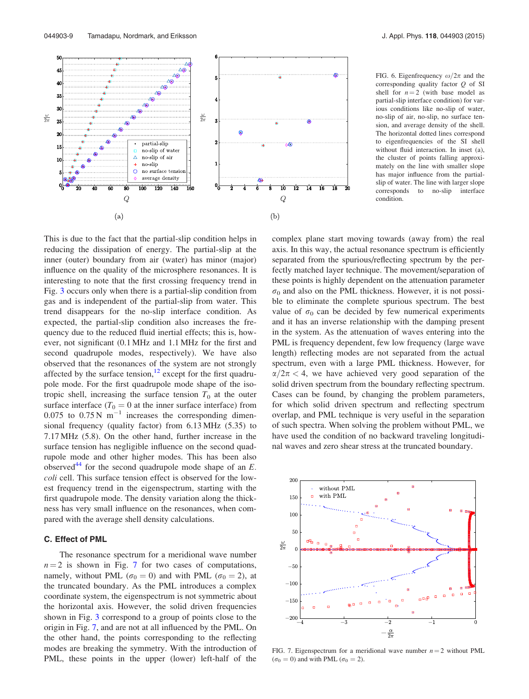

FIG. 6. Eigenfrequency  $\omega/2\pi$  and the corresponding quality factor Q of SI shell for  $n = 2$  (with base model as partial-slip interface condition) for various conditions like no-slip of water, no-slip of air, no-slip, no surface tension, and average density of the shell. The horizontal dotted lines correspond to eigenfrequencies of the SI shell without fluid interaction. In inset (a), the cluster of points falling approximately on the line with smaller slope has major influence from the partialslip of water. The line with larger slope corresponds to no-slip interface condition.

This is due to the fact that the partial-slip condition helps in reducing the dissipation of energy. The partial-slip at the inner (outer) boundary from air (water) has minor (major) influence on the quality of the microsphere resonances. It is interesting to note that the first crossing frequency trend in Fig. 3 occurs only when there is a partial-slip condition from gas and is independent of the partial-slip from water. This trend disappears for the no-slip interface condition. As expected, the partial-slip condition also increases the frequency due to the reduced fluid inertial effects; this is, however, not significant (0.1 MHz and 1.1 MHz for the first and second quadrupole modes, respectively). We have also observed that the resonances of the system are not strongly affected by the surface tension, $12$  except for the first quadrupole mode. For the first quadrupole mode shape of the isotropic shell, increasing the surface tension  $T_0$  at the outer surface interface ( $T_0 = 0$  at the inner surface interface) from 0.075 to  $0.75$  N m<sup>-1</sup> increases the corresponding dimensional frequency (quality factor) from 6.13 MHz (5.35) to 7.17 MHz (5.8). On the other hand, further increase in the surface tension has negligible influence on the second quadrupole mode and other higher modes. This has been also observed<sup>44</sup> for the second quadrupole mode shape of an  $E$ . coli cell. This surface tension effect is observed for the lowest frequency trend in the eigenspectrum, starting with the first quadrupole mode. The density variation along the thickness has very small influence on the resonances, when compared with the average shell density calculations.

# C. Effect of PML

The resonance spectrum for a meridional wave number  $n = 2$  is shown in Fig. 7 for two cases of computations, namely, without PML ( $\sigma_0 = 0$ ) and with PML ( $\sigma_0 = 2$ ), at the truncated boundary. As the PML introduces a complex coordinate system, the eigenspectrum is not symmetric about the horizontal axis. However, the solid driven frequencies shown in Fig. 3 correspond to a group of points close to the origin in Fig. 7, and are not at all influenced by the PML. On the other hand, the points corresponding to the reflecting modes are breaking the symmetry. With the introduction of PML, these points in the upper (lower) left-half of the complex plane start moving towards (away from) the real axis. In this way, the actual resonance spectrum is efficiently separated from the spurious/reflecting spectrum by the perfectly matched layer technique. The movement/separation of these points is highly dependent on the attenuation parameter  $\sigma_0$  and also on the PML thickness. However, it is not possible to eliminate the complete spurious spectrum. The best value of  $\sigma_0$  can be decided by few numerical experiments and it has an inverse relationship with the damping present in the system. As the attenuation of waves entering into the PML is frequency dependent, few low frequency (large wave length) reflecting modes are not separated from the actual spectrum, even with a large PML thickness. However, for  $\alpha/2\pi$  < 4, we have achieved very good separation of the solid driven spectrum from the boundary reflecting spectrum. Cases can be found, by changing the problem parameters, for which solid driven spectrum and reflecting spectrum overlap, and PML technique is very useful in the separation of such spectra. When solving the problem without PML, we have used the condition of no backward traveling longitudinal waves and zero shear stress at the truncated boundary.



FIG. 7. Eigenspectrum for a meridional wave number  $n = 2$  without PML  $(\sigma_0 = 0)$  and with PML  $(\sigma_0 = 2)$ .